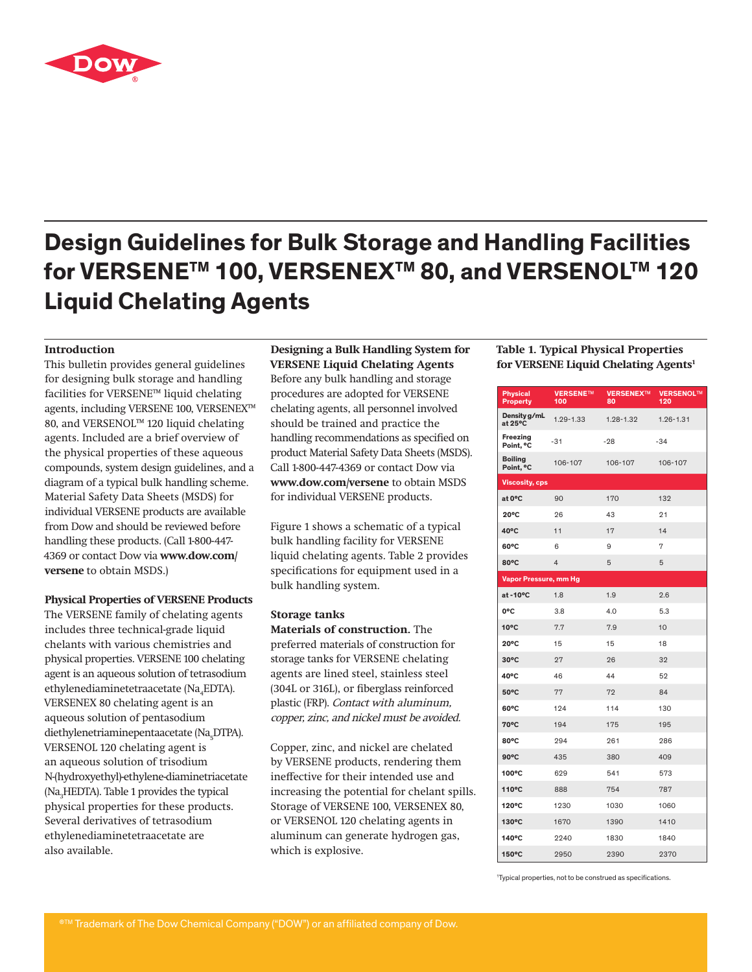

# **Design Guidelines for Bulk Storage and Handling Facilities for VERSENETM 100, VERSENEXTM 80, and VERSENOLTM 120 Liquid Chelating Agents**

#### **Introduction**

This bulletin provides general guidelines for designing bulk storage and handling facilities for VERSENE™ liquid chelating agents, including VERSENE 100, VERSENEX™ 80, and VERSENOL™ 120 liquid chelating agents. Included are a brief overview of the physical properties of these aqueous compounds, system design guidelines, and a diagram of a typical bulk handling scheme. Material Safety Data Sheets (MSDS) for individual VERSENE products are available from Dow and should be reviewed before handling these products. (Call 1-800-447- 4369 or contact Dow via **www.dow.com/ versene** to obtain MSDS.)

#### **Physical Properties of VERSENE Products**

The VERSENE family of chelating agents includes three technical-grade liquid chelants with various chemistries and physical properties. VERSENE 100 chelating agent is an aqueous solution of tetrasodium ethylenediaminetetraacetate (Na<sub>4</sub>EDTA). VERSENEX 80 chelating agent is an aqueous solution of pentasodium diethylenetriaminepentaacetate (Na<sub>5</sub>DTPA). VERSENOL 120 chelating agent is an aqueous solution of trisodium N-(hydroxyethyl)-ethylene-diaminetriacetate (Na<sub>3</sub>HEDTA). Table 1 provides the typical physical properties for these products. Several derivatives of tetrasodium ethylenediaminetetraacetate are also available.

**Designing a Bulk Handling System for VERSENE Liquid Chelating Agents**  Before any bulk handling and storage procedures are adopted for VERSENE chelating agents, all personnel involved should be trained and practice the handling recommendations as specified on product Material Safety Data Sheets (MSDS). Call 1-800-447-4369 or contact Dow via

**www.dow.com/versene** to obtain MSDS for individual VERSENE products.

Figure 1 shows a schematic of a typical bulk handling facility for VERSENE liquid chelating agents. Table 2 provides specifications for equipment used in a bulk handling system.

#### **Storage tanks**

**Materials of construction.** The preferred materials of construction for storage tanks for VERSENE chelating agents are lined steel, stainless steel (304L or 316L), or fiberglass reinforced plastic (FRP). Contact with aluminum, copper, zinc, and nickel must be avoided.

Copper, zinc, and nickel are chelated by VERSENE products, rendering them ineffective for their intended use and increasing the potential for chelant spills. Storage of VERSENE 100, VERSENEX 80, or VERSENOL 120 chelating agents in aluminum can generate hydrogen gas, which is explosive.

### **Table 1. Typical Physical Properties for VERSENE Liquid Chelating Agents1**

| <b>Physical</b><br><b>Property</b> | <b>VERSENE™</b><br>100  | <b>VERSENEXTM</b><br>80 | <b>VERSENOLTM</b><br>120 |
|------------------------------------|-------------------------|-------------------------|--------------------------|
| Density g/mL<br>at 25°C            | $1.29 - 1.33$           | $1.28 - 1.32$           | $1.26 - 1.31$            |
| Freezing<br>Point, °C              | $-31$                   | $-28$                   | $-34$                    |
| <b>Boiling</b><br>Point, °C        | 106-107                 | 106-107                 | 106-107                  |
| <b>Viscosity, cps</b>              |                         |                         |                          |
| at 0°C                             | 90                      | 170                     | 132                      |
| 20°C                               | 26                      | 43                      | 21                       |
| 40°C                               | 11                      | 17                      | 14                       |
| 60°C                               | 6                       | 9                       | 7                        |
| 80°C                               | $\overline{\mathbf{4}}$ | 5                       | 5                        |
| Vapor Pressure, mm Hg              |                         |                         |                          |
| at-10°C                            | 1.8                     | 1.9                     | 2.6                      |
| 0°C                                | 3.8                     | 4.0                     | 5.3                      |
| 10°C                               | 7.7                     | 7.9                     | 10                       |
| 20°C                               | 15                      | 15                      | 18                       |
| 30°C                               | 27                      | 26                      | 32                       |
| 40°C                               | 46                      | 44                      | 52                       |
| 50°C                               | 77                      | 72                      | 84                       |
| 60°C                               | 124                     | 114                     | 130                      |
| 70°C                               | 194                     | 175                     | 195                      |
| 80°C                               | 294                     | 261                     | 286                      |
| 90°C                               | 435                     | 380                     | 409                      |
| 100°C                              | 629                     | 541                     | 573                      |
| 110°C                              | 888                     | 754                     | 787                      |
| 120°C                              | 1230                    | 1030                    | 1060                     |
| 130°C                              | 1670                    | 1390                    | 1410                     |
| 140°C                              | 2240                    | 1830                    | 1840                     |
| 150°C                              | 2950                    | 2390                    | 2370                     |

1Typical properties, not to be construed as specifications.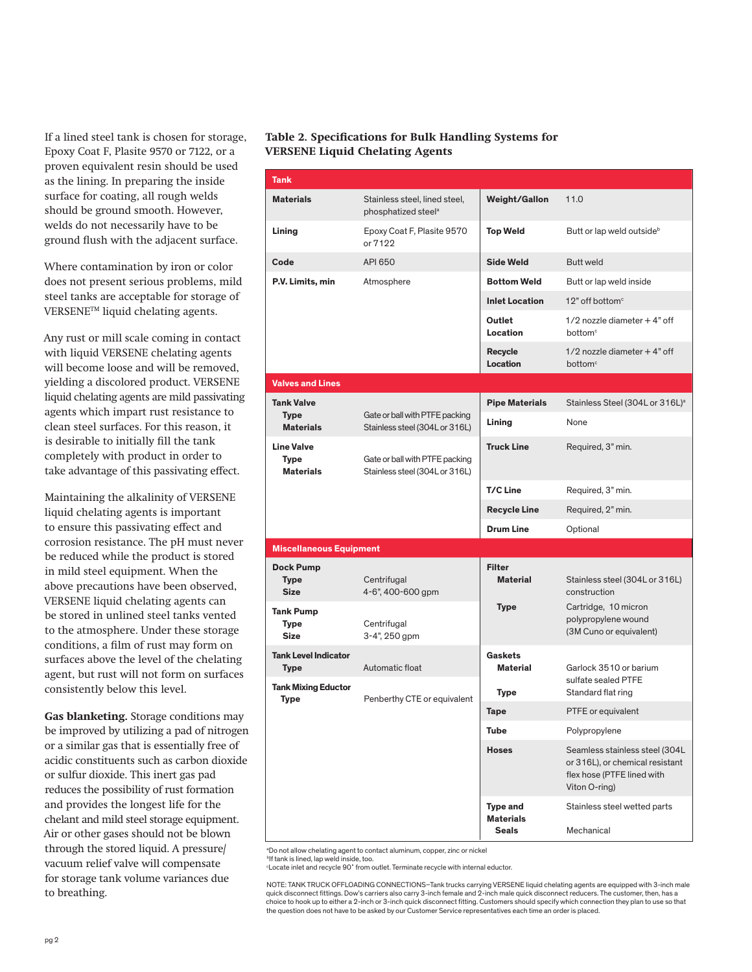If a lined steel tank is chosen for storage, Epoxy Coat F, Plasite 9570 or 7122, or a proven equivalent resin should be used as the lining. In preparing the inside surface for coating, all rough welds should be ground smooth. However, welds do not necessarily have to be ground flush with the adjacent surface.

Where contamination by iron or color does not present serious problems, mild steel tanks are acceptable for storage of VERSENETM liquid chelating agents.

Any rust or mill scale coming in contact with liquid VERSENE chelating agents will become loose and will be removed, yielding a discolored product. VERSENE liquid chelating agents are mild passivating agents which impart rust resistance to clean steel surfaces. For this reason, it is desirable to initially fill the tank completely with product in order to take advantage of this passivating effect.

Maintaining the alkalinity of VERSENE liquid chelating agents is important to ensure this passivating effect and corrosion resistance. The pH must never be reduced while the product is stored in mild steel equipment. When the above precautions have been observed, VERSENE liquid chelating agents can be stored in unlined steel tanks vented to the atmosphere. Under these storage conditions, a film of rust may form on surfaces above the level of the chelating agent, but rust will not form on surfaces consistently below this level.

**Gas blanketing.** Storage conditions may be improved by utilizing a pad of nitrogen or a similar gas that is essentially free of acidic constituents such as carbon dioxide or sulfur dioxide. This inert gas pad reduces the possibility of rust formation and provides the longest life for the chelant and mild steel storage equipment. Air or other gases should not be blown through the stored liquid. A pressure/ vacuum relief valve will compensate for storage tank volume variances due to breathing.

#### **Table 2. Specifications for Bulk Handling Systems for VERSENE Liquid Chelating Agents**

| <b>Tank</b>                                                              |                                                                  |                                                     |                                                                                                                  |  |
|--------------------------------------------------------------------------|------------------------------------------------------------------|-----------------------------------------------------|------------------------------------------------------------------------------------------------------------------|--|
| <b>Materials</b>                                                         | Stainless steel, lined steel,<br>phosphatized steel <sup>a</sup> | <b>Weight/Gallon</b>                                | 11.0                                                                                                             |  |
| Lining                                                                   | Epoxy Coat F, Plasite 9570<br>or 7122                            | <b>Top Weld</b>                                     | Butt or lap weld outside <sup>b</sup>                                                                            |  |
| Code                                                                     | API 650                                                          | <b>Side Weld</b>                                    | <b>Butt weld</b>                                                                                                 |  |
| P.V. Limits, min                                                         | Atmosphere                                                       | <b>Bottom Weld</b>                                  | Butt or lap weld inside                                                                                          |  |
|                                                                          |                                                                  | <b>Inlet Location</b>                               | 12" off bottom <sup>c</sup>                                                                                      |  |
|                                                                          |                                                                  | Outlet<br>Location                                  | $1/2$ nozzle diameter $+4$ " off<br>bottom <sup>c</sup>                                                          |  |
|                                                                          |                                                                  | Recycle<br>Location                                 | $1/2$ nozzle diameter $+4$ " off<br>bottom <sup>c</sup>                                                          |  |
| <b>Valves and Lines</b>                                                  |                                                                  |                                                     |                                                                                                                  |  |
| <b>Tank Valve</b><br><b>Type</b><br><b>Materials</b>                     | Gate or ball with PTFE packing<br>Stainless steel (304L or 316L) | <b>Pipe Materials</b>                               | Stainless Steel (304L or 316L) <sup>a</sup>                                                                      |  |
|                                                                          |                                                                  | Lining                                              | None                                                                                                             |  |
| <b>Line Valve</b><br><b>Type</b><br><b>Materials</b>                     | Gate or ball with PTFE packing<br>Stainless steel (304L or 316L) | <b>Truck Line</b>                                   | Required, 3" min.                                                                                                |  |
|                                                                          |                                                                  | T/C Line                                            | Required, 3" min.                                                                                                |  |
|                                                                          |                                                                  | <b>Recycle Line</b>                                 | Required, 2" min.                                                                                                |  |
|                                                                          |                                                                  | <b>Drum Line</b>                                    | Optional                                                                                                         |  |
| <b>Miscellaneous Equipment</b>                                           |                                                                  |                                                     |                                                                                                                  |  |
| <b>Dock Pump</b><br><b>Type</b><br><b>Size</b>                           | Centrifugal<br>4-6", 400-600 gpm                                 | <b>Filter</b><br><b>Material</b>                    | Stainless steel (304L or 316L)<br>construction                                                                   |  |
| <b>Tank Pump</b><br><b>Type</b><br><b>Size</b>                           | Centrifugal<br>3-4", 250 gpm                                     | <b>Type</b>                                         | Cartridge, 10 micron<br>polypropylene wound<br>(3M Cuno or equivalent)                                           |  |
| <b>Tank Level Indicator</b><br><b>Type</b><br><b>Tank Mixing Eductor</b> | Automatic float                                                  | Gaskets<br><b>Material</b>                          | Garlock 3510 or barium<br>sulfate sealed PTFE                                                                    |  |
| Type                                                                     | Penberthy CTE or equivalent                                      | <b>Type</b>                                         | Standard flat ring                                                                                               |  |
|                                                                          |                                                                  | Tape                                                | PTFE or equivalent                                                                                               |  |
|                                                                          |                                                                  | <b>Tube</b>                                         | Polypropylene                                                                                                    |  |
|                                                                          |                                                                  | <b>Hoses</b>                                        | Seamless stainless steel (304L<br>or 316L), or chemical resistant<br>flex hose (PTFE lined with<br>Viton O-ring) |  |
|                                                                          |                                                                  | <b>Type and</b><br><b>Materials</b><br><b>Seals</b> | Stainless steel wetted parts<br>Mechanical                                                                       |  |

a Do not allow chelating agent to contact aluminum, copper, zinc or nickel

b If tank is lined, lap weld inside, too.

c Locate inlet and recycle 90˚ from outlet. Terminate recycle with internal eductor.

NOTE: TANK TRUCK OFFLOADING CONNECTIONS–Tank trucks carrying VERSENE liquid chelating agents are equipped with 3-inch male quick disconnect fittings. Dow's carriers also carry 3-inch female and 2-inch male quick disconnect reducers. The customer, then, has a choice to hook up to either a 2-inch or 3-inch quick disconnect fitting. Customers should specify which connection they plan to use so that the question does not have to be asked by our Customer Service representatives each time an order is placed.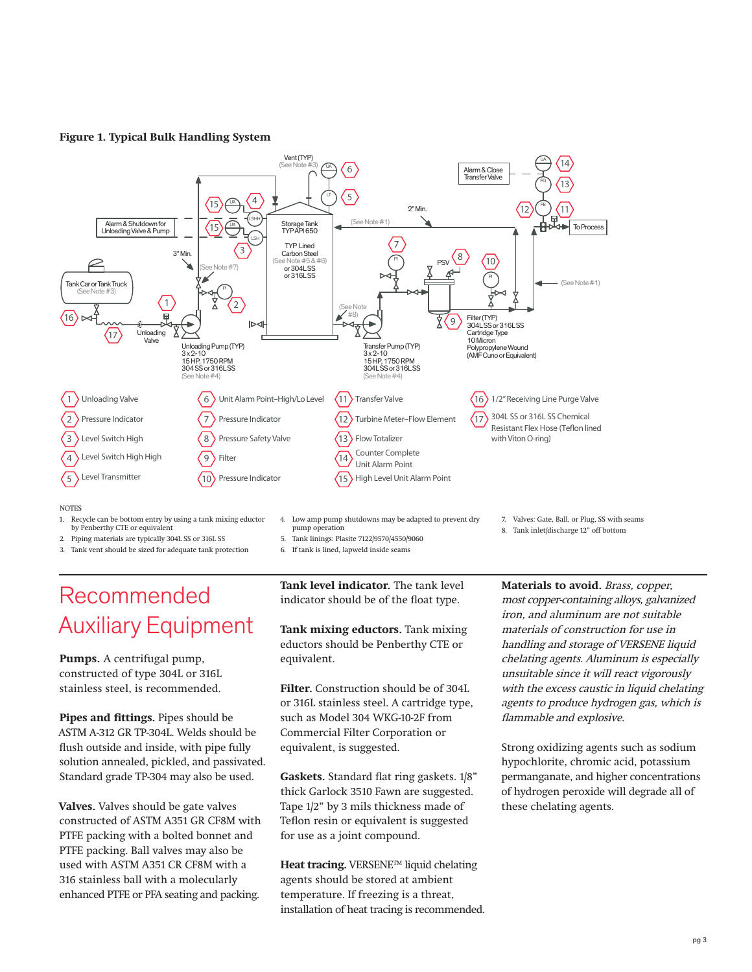#### **Figure 1. Typical Bulk Handling System**



#### **NOTES**

- 1. Recycle can be bottom entry by using a tank mixing eductor by Penberthy CTE or equivalent
- 2. Piping materials are typically 304L SS or 316L SS
- 3. Tank vent should be sized for adequate tank protection
- 4. Low amp pump shutdowns may be adapted to prevent dry pump operation
- 5. Tank linings: Plasite 7122/9570/4550/9060
- 6. If tank is lined, lapweld inside seams

### Recommended Auxiliary Equipment

**Pumps.** A centrifugal pump, constructed of type 304L or 316L stainless steel, is recommended.

**Pipes and fittings.** Pipes should be ASTM A-312 GR TP-304L. Welds should be flush outside and inside, with pipe fully solution annealed, pickled, and passivated. Standard grade TP-304 may also be used.

**Valves.** Valves should be gate valves constructed of ASTM A351 GR CF8M with PTFE packing with a bolted bonnet and PTFE packing. Ball valves may also be used with ASTM A351 CR CF8M with a 316 stainless ball with a molecularly enhanced PTFE or PFA seating and packing.

**Tank level indicator.** The tank level indicator should be of the float type.

**Tank mixing eductors.** Tank mixing eductors should be Penberthy CTE or equivalent.

**Filter.** Construction should be of 304L or 316L stainless steel. A cartridge type, such as Model 304 WKG-10-2F from Commercial Filter Corporation or equivalent, is suggested.

**Gaskets.** Standard flat ring gaskets. 1/8" thick Garlock 3510 Fawn are suggested. Tape 1/2" by 3 mils thickness made of Teflon resin or equivalent is suggested for use as a joint compound.

**Heat tracing.** VERSENE™ liquid chelating agents should be stored at ambient temperature. If freezing is a threat, installation of heat tracing is recommended. 7. Valves: Gate, Ball, or Plug, SS with seams

8. Tank inlet/discharge 12" off bottom

**Materials to avoid.** Brass, copper, most copper-containing alloys, galvanized iron, and aluminum are not suitable materials of construction for use in handling and storage of VERSENE liquid chelating agents. Aluminum is especially unsuitable since it will react vigorously with the excess caustic in liquid chelating agents to produce hydrogen gas, which is flammable and explosive.

Strong oxidizing agents such as sodium hypochlorite, chromic acid, potassium permanganate, and higher concentrations of hydrogen peroxide will degrade all of these chelating agents.